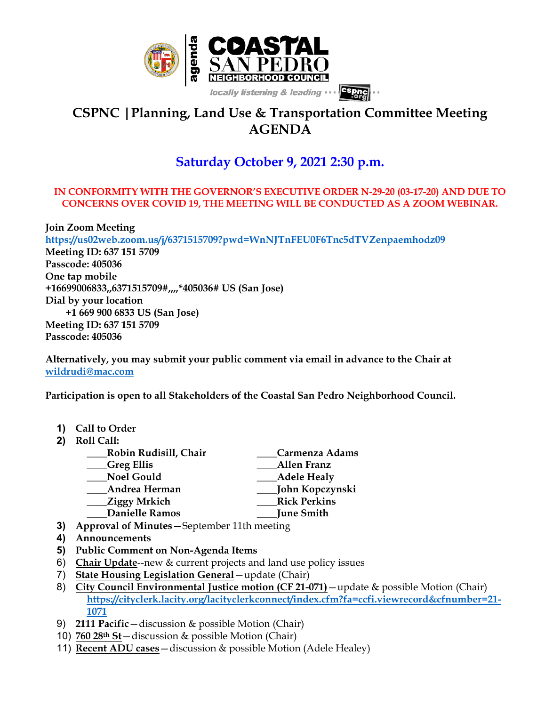

## **CSPNC |Planning, Land Use & Transportation Committee Meeting AGENDA**

## **Saturday October 9, 2021 2:30 p.m.**

## **IN CONFORMITY WITH THE GOVERNOR'S EXECUTIVE ORDER N-29-20 (03-17-20) AND DUE TO CONCERNS OVER COVID 19, THE MEETING WILL BE CONDUCTED AS A ZOOM WEBINAR.**

**Join Zoom Meeting https://us02web.zoom.us/j/6371515709?pwd=WnNJTnFEU0F6Tnc5dTVZenpaemhodz09 Meeting ID: 637 151 5709 Passcode: 405036 One tap mobile +16699006833,,6371515709#,,,,\*405036# US (San Jose) Dial by your location +1 669 900 6833 US (San Jose) Meeting ID: 637 151 5709 Passcode: 405036**

**Alternatively, you may submit your public comment via email in advance to the Chair at wildrudi@mac.com**

**Participation is open to all Stakeholders of the Coastal San Pedro Neighborhood Council.**

- **1) Call to Order**
- **2) Roll Call:**

| Robin Rudisill, Chair | Carmenza Adams      |
|-----------------------|---------------------|
| <b>Greg Ellis</b>     | <b>Allen Franz</b>  |
| <b>Noel Gould</b>     | <b>Adele Healy</b>  |
| Andrea Herman         | John Kopczynski     |
| <b>Ziggy Mrkich</b>   | <b>Rick Perkins</b> |
| <b>Danielle Ramos</b> | June Smith          |
| $\blacksquare$        |                     |

- **3) Approval of Minutes—**September 11th meeting
- **4) Announcements**
- **5) Public Comment on Non-Agenda Items**
- 6) **Chair Update**--new & current projects and land use policy issues
- 7) **State Housing Legislation General**—update (Chair)
- 8) **City Council Environmental Justice motion (CF 21-071)**—update & possible Motion (Chair) **https://cityclerk.lacity.org/lacityclerkconnect/index.cfm?fa=ccfi.viewrecord&cfnumber=21- 1071**
- 9) **2111 Pacific**—discussion & possible Motion (Chair)
- 10) **760 28th St**—discussion & possible Motion (Chair)
- 11) **Recent ADU cases**—discussion & possible Motion (Adele Healey)